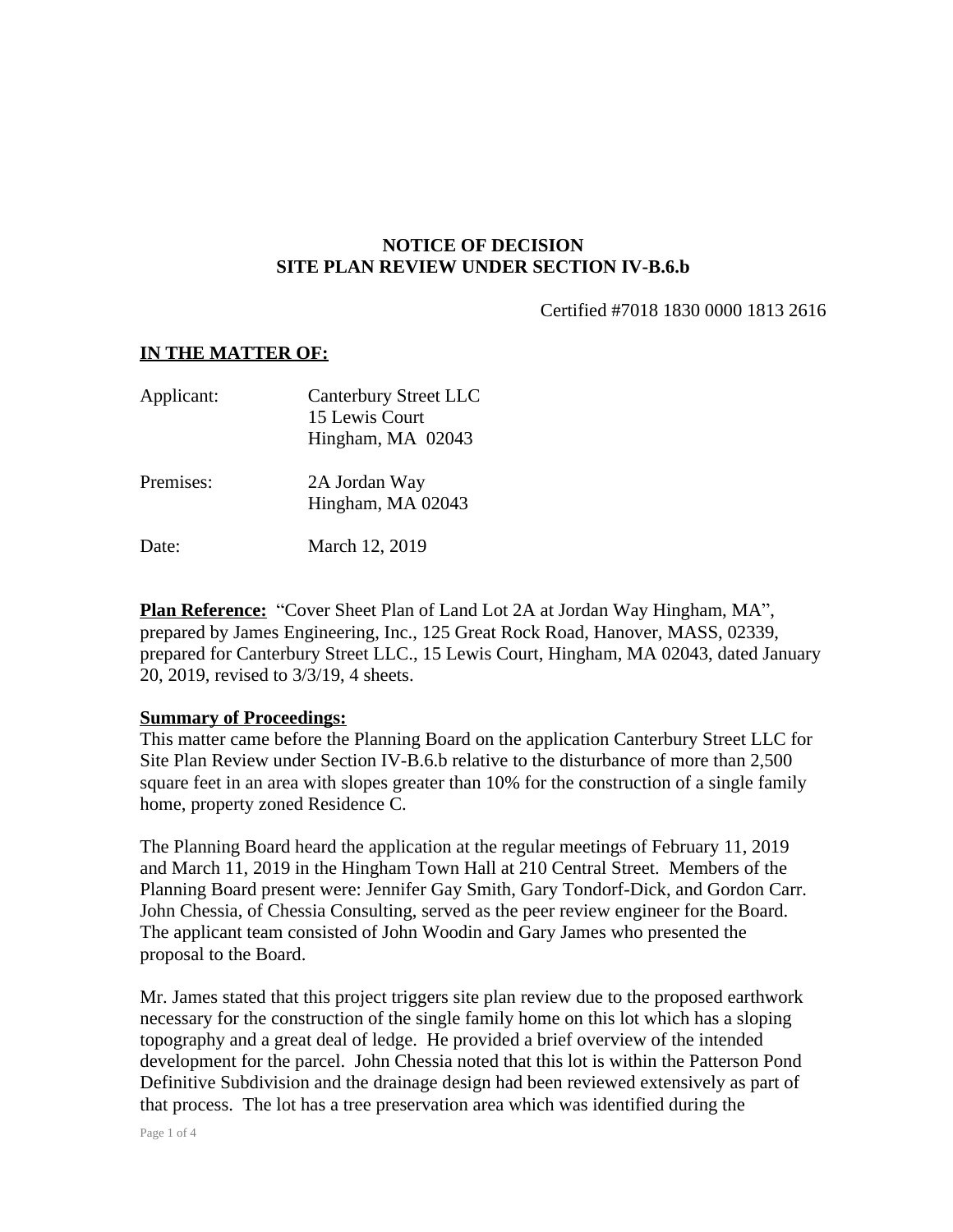## **NOTICE OF DECISION SITE PLAN REVIEW UNDER SECTION IV-B.6.b**

Certified #7018 1830 0000 1813 2616

## **IN THE MATTER OF:**

| Applicant: | <b>Canterbury Street LLC</b><br>15 Lewis Court<br>Hingham, MA 02043 |
|------------|---------------------------------------------------------------------|
| Premises:  | 2A Jordan Way<br>Hingham, MA 02043                                  |
| Date:      | March 12, 2019                                                      |

**Plan Reference:** "Cover Sheet Plan of Land Lot 2A at Jordan Way Hingham, MA", prepared by James Engineering, Inc., 125 Great Rock Road, Hanover, MASS, 02339, prepared for Canterbury Street LLC., 15 Lewis Court, Hingham, MA 02043, dated January 20, 2019, revised to 3/3/19, 4 sheets.

## **Summary of Proceedings:**

This matter came before the Planning Board on the application Canterbury Street LLC for Site Plan Review under Section IV-B.6.b relative to the disturbance of more than 2,500 square feet in an area with slopes greater than 10% for the construction of a single family home, property zoned Residence C.

The Planning Board heard the application at the regular meetings of February 11, 2019 and March 11, 2019 in the Hingham Town Hall at 210 Central Street. Members of the Planning Board present were: Jennifer Gay Smith, Gary Tondorf-Dick, and Gordon Carr. John Chessia, of Chessia Consulting, served as the peer review engineer for the Board. The applicant team consisted of John Woodin and Gary James who presented the proposal to the Board.

Mr. James stated that this project triggers site plan review due to the proposed earthwork necessary for the construction of the single family home on this lot which has a sloping topography and a great deal of ledge. He provided a brief overview of the intended development for the parcel. John Chessia noted that this lot is within the Patterson Pond Definitive Subdivision and the drainage design had been reviewed extensively as part of that process. The lot has a tree preservation area which was identified during the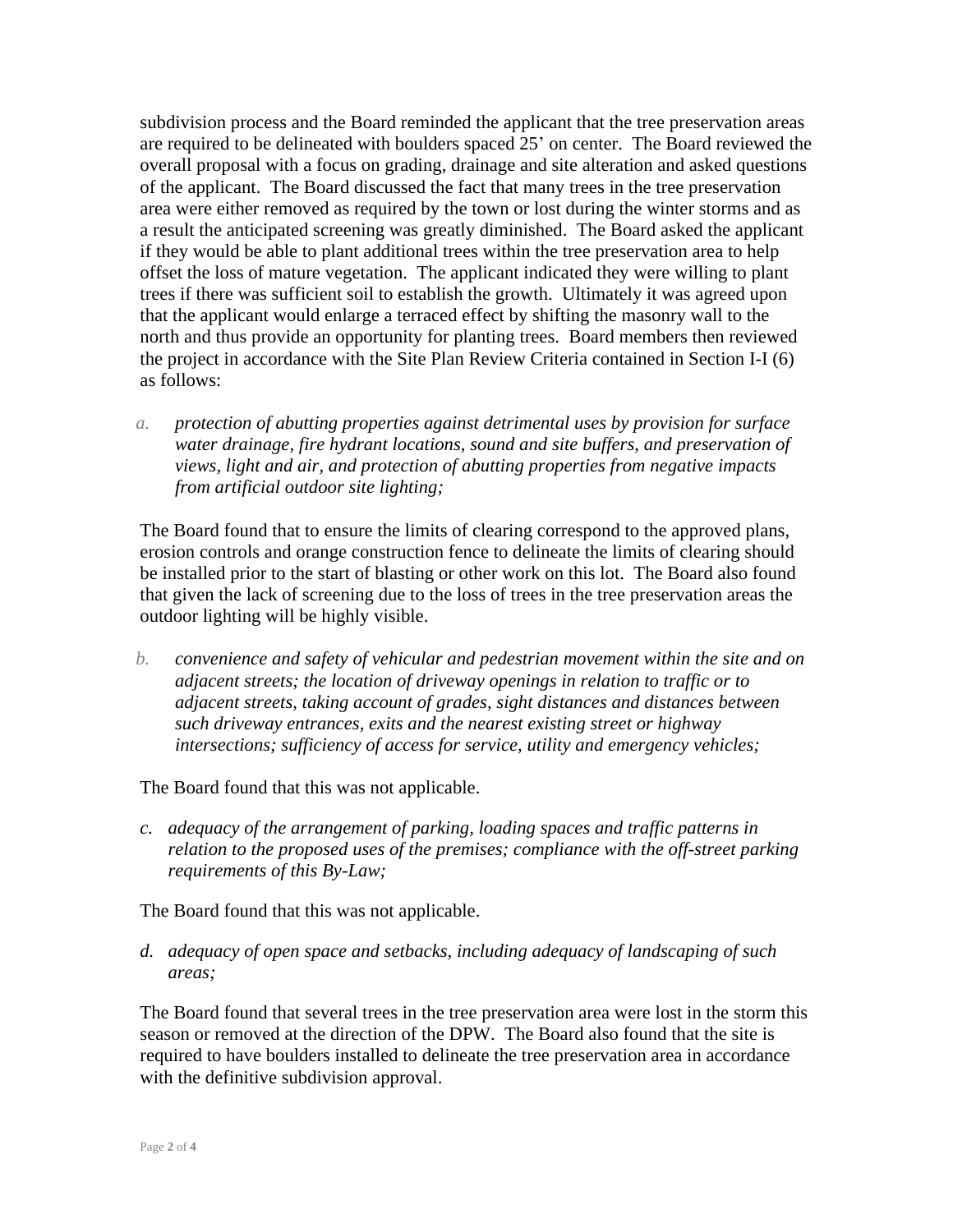subdivision process and the Board reminded the applicant that the tree preservation areas are required to be delineated with boulders spaced 25' on center. The Board reviewed the overall proposal with a focus on grading, drainage and site alteration and asked questions of the applicant. The Board discussed the fact that many trees in the tree preservation area were either removed as required by the town or lost during the winter storms and as a result the anticipated screening was greatly diminished. The Board asked the applicant if they would be able to plant additional trees within the tree preservation area to help offset the loss of mature vegetation. The applicant indicated they were willing to plant trees if there was sufficient soil to establish the growth. Ultimately it was agreed upon that the applicant would enlarge a terraced effect by shifting the masonry wall to the north and thus provide an opportunity for planting trees. Board members then reviewed the project in accordance with the Site Plan Review Criteria contained in Section I-I (6) as follows:

*a. protection of abutting properties against detrimental uses by provision for surface water drainage, fire hydrant locations, sound and site buffers, and preservation of views, light and air, and protection of abutting properties from negative impacts from artificial outdoor site lighting;*

The Board found that to ensure the limits of clearing correspond to the approved plans, erosion controls and orange construction fence to delineate the limits of clearing should be installed prior to the start of blasting or other work on this lot. The Board also found that given the lack of screening due to the loss of trees in the tree preservation areas the outdoor lighting will be highly visible.

*b. convenience and safety of vehicular and pedestrian movement within the site and on adjacent streets; the location of driveway openings in relation to traffic or to adjacent streets, taking account of grades, sight distances and distances between such driveway entrances, exits and the nearest existing street or highway intersections; sufficiency of access for service, utility and emergency vehicles;*

The Board found that this was not applicable.

*c. adequacy of the arrangement of parking, loading spaces and traffic patterns in relation to the proposed uses of the premises; compliance with the off-street parking requirements of this By-Law;*

The Board found that this was not applicable.

*d. adequacy of open space and setbacks, including adequacy of landscaping of such areas;*

The Board found that several trees in the tree preservation area were lost in the storm this season or removed at the direction of the DPW. The Board also found that the site is required to have boulders installed to delineate the tree preservation area in accordance with the definitive subdivision approval.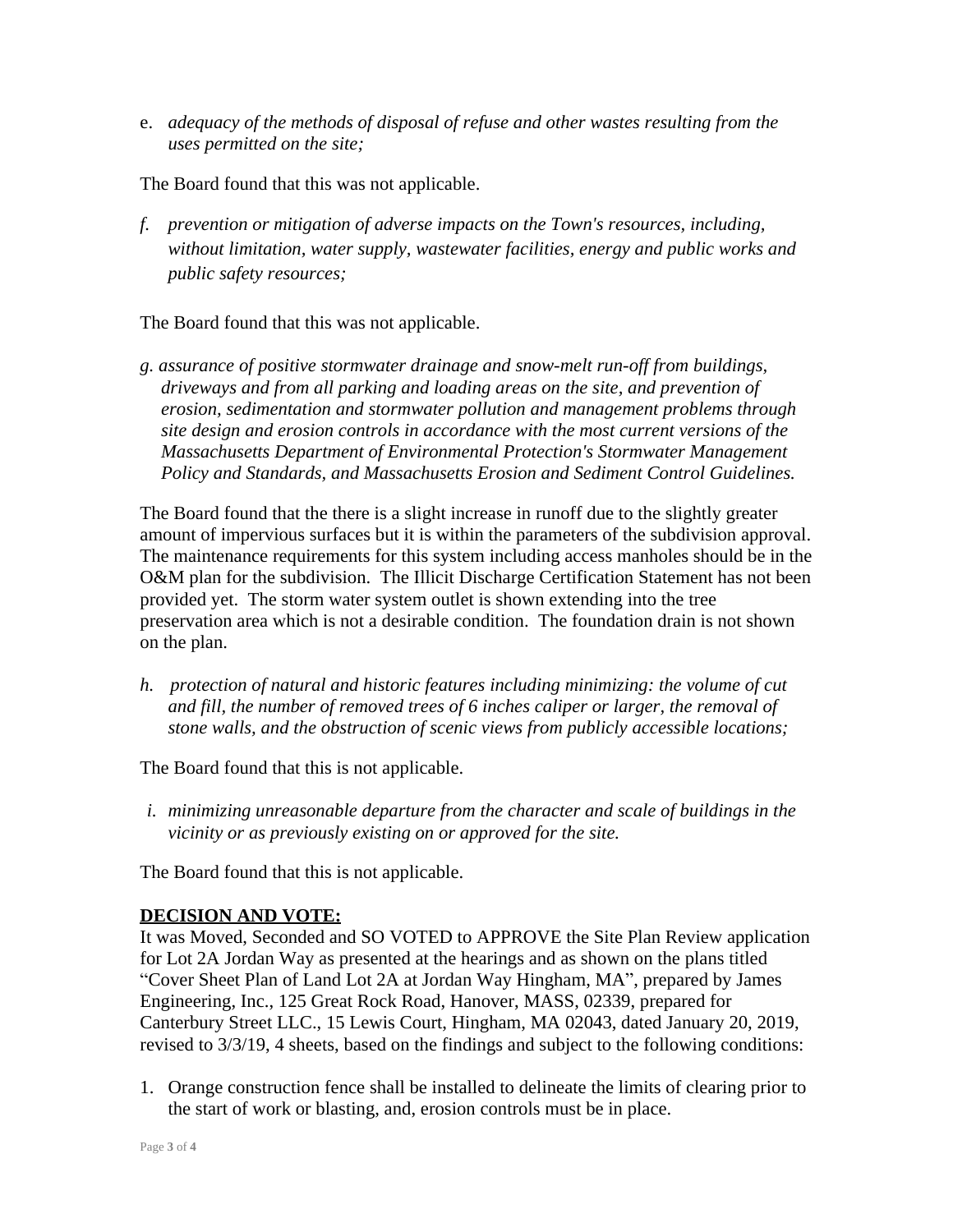e. *adequacy of the methods of disposal of refuse and other wastes resulting from the uses permitted on the site;*

The Board found that this was not applicable.

*f. prevention or mitigation of adverse impacts on the Town's resources, including, without limitation, water supply, wastewater facilities, energy and public works and public safety resources;*

The Board found that this was not applicable.

*g. assurance of positive stormwater drainage and snow-melt run-off from buildings, driveways and from all parking and loading areas on the site, and prevention of erosion, sedimentation and stormwater pollution and management problems through site design and erosion controls in accordance with the most current versions of the Massachusetts Department of Environmental Protection's Stormwater Management Policy and Standards, and Massachusetts Erosion and Sediment Control Guidelines.*

The Board found that the there is a slight increase in runoff due to the slightly greater amount of impervious surfaces but it is within the parameters of the subdivision approval. The maintenance requirements for this system including access manholes should be in the O&M plan for the subdivision. The Illicit Discharge Certification Statement has not been provided yet. The storm water system outlet is shown extending into the tree preservation area which is not a desirable condition. The foundation drain is not shown on the plan.

*h. protection of natural and historic features including minimizing: the volume of cut and fill, the number of removed trees of 6 inches caliper or larger, the removal of stone walls, and the obstruction of scenic views from publicly accessible locations;*

The Board found that this is not applicable.

*i. minimizing unreasonable departure from the character and scale of buildings in the vicinity or as previously existing on or approved for the site.*

The Board found that this is not applicable.

## **DECISION AND VOTE:**

It was Moved, Seconded and SO VOTED to APPROVE the Site Plan Review application for Lot 2A Jordan Way as presented at the hearings and as shown on the plans titled "Cover Sheet Plan of Land Lot 2A at Jordan Way Hingham, MA", prepared by James Engineering, Inc., 125 Great Rock Road, Hanover, MASS, 02339, prepared for Canterbury Street LLC., 15 Lewis Court, Hingham, MA 02043, dated January 20, 2019, revised to 3/3/19, 4 sheets, based on the findings and subject to the following conditions:

1. Orange construction fence shall be installed to delineate the limits of clearing prior to the start of work or blasting, and, erosion controls must be in place.